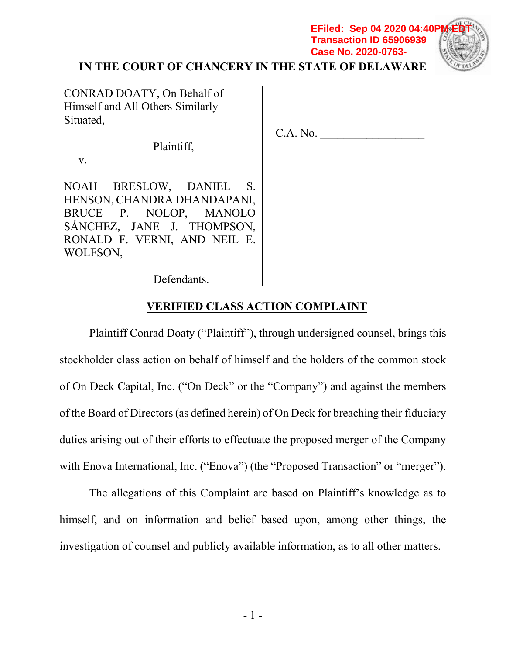## **IN THE COURT OF CHANCERY IN THE STATE OF DELAWARE**

 $C.A. No.$ 

**Transaction ID 65906939 Case No. 2020-0763-**



CONRAD DOATY, On Behalf of Himself and All Others Similarly Situated,

Plaintiff,

v.

NOAH BRESLOW, DANIEL S. HENSON, CHANDRA DHANDAPANI, BRUCE P. NOLOP, MANOLO SÁNCHEZ, JANE J. THOMPSON, RONALD F. VERNI, AND NEIL E. WOLFSON,

Defendants.

## **VERIFIED CLASS ACTION COMPLAINT**

Plaintiff Conrad Doaty ("Plaintiff"), through undersigned counsel, brings this stockholder class action on behalf of himself and the holders of the common stock of On Deck Capital, Inc. ("On Deck" or the "Company") and against the members of the Board of Directors (as defined herein) of On Deck for breaching their fiduciary duties arising out of their efforts to effectuate the proposed merger of the Company with Enova International, Inc. ("Enova") (the "Proposed Transaction" or "merger").

The allegations of this Complaint are based on Plaintiff's knowledge as to himself, and on information and belief based upon, among other things, the investigation of counsel and publicly available information, as to all other matters.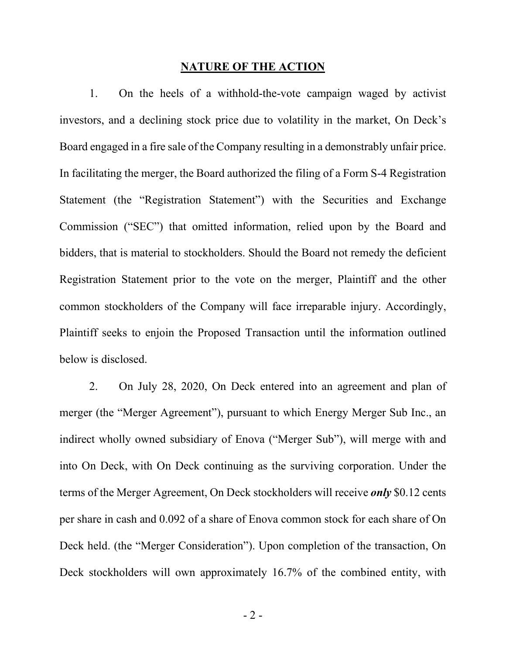#### **NATURE OF THE ACTION**

1. On the heels of a withhold-the-vote campaign waged by activist investors, and a declining stock price due to volatility in the market, On Deck's Board engaged in a fire sale of the Company resulting in a demonstrably unfair price. In facilitating the merger, the Board authorized the filing of a Form S-4 Registration Statement (the "Registration Statement") with the Securities and Exchange Commission ("SEC") that omitted information, relied upon by the Board and bidders, that is material to stockholders. Should the Board not remedy the deficient Registration Statement prior to the vote on the merger, Plaintiff and the other common stockholders of the Company will face irreparable injury. Accordingly, Plaintiff seeks to enjoin the Proposed Transaction until the information outlined below is disclosed.

2. On July 28, 2020, On Deck entered into an agreement and plan of merger (the "Merger Agreement"), pursuant to which Energy Merger Sub Inc., an indirect wholly owned subsidiary of Enova ("Merger Sub"), will merge with and into On Deck, with On Deck continuing as the surviving corporation. Under the terms of the Merger Agreement, On Deck stockholders will receive *only* \$0.12 cents per share in cash and 0.092 of a share of Enova common stock for each share of On Deck held. (the "Merger Consideration"). Upon completion of the transaction, On Deck stockholders will own approximately 16.7% of the combined entity, with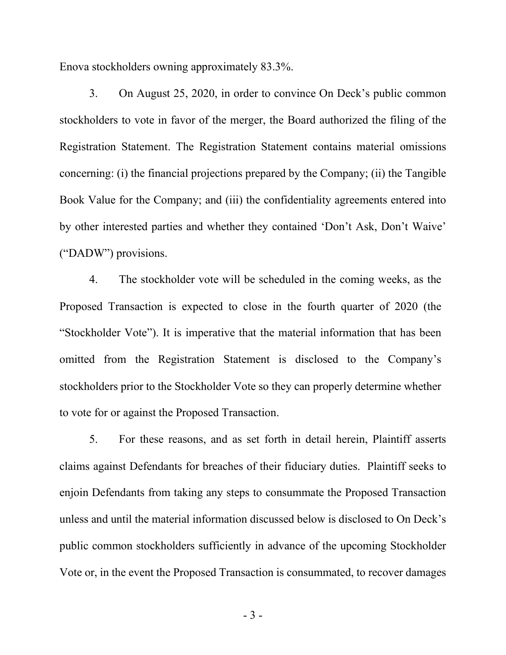Enova stockholders owning approximately 83.3%.

3. On August 25, 2020, in order to convince On Deck's public common stockholders to vote in favor of the merger, the Board authorized the filing of the Registration Statement. The Registration Statement contains material omissions concerning: (i) the financial projections prepared by the Company; (ii) the Tangible Book Value for the Company; and (iii) the confidentiality agreements entered into by other interested parties and whether they contained 'Don't Ask, Don't Waive' ("DADW") provisions.

4. The stockholder vote will be scheduled in the coming weeks, as the Proposed Transaction is expected to close in the fourth quarter of 2020 (the "Stockholder Vote"). It is imperative that the material information that has been omitted from the Registration Statement is disclosed to the Company's stockholders prior to the Stockholder Vote so they can properly determine whether to vote for or against the Proposed Transaction.

5. For these reasons, and as set forth in detail herein, Plaintiff asserts claims against Defendants for breaches of their fiduciary duties. Plaintiff seeks to enjoin Defendants from taking any steps to consummate the Proposed Transaction unless and until the material information discussed below is disclosed to On Deck's public common stockholders sufficiently in advance of the upcoming Stockholder Vote or, in the event the Proposed Transaction is consummated, to recover damages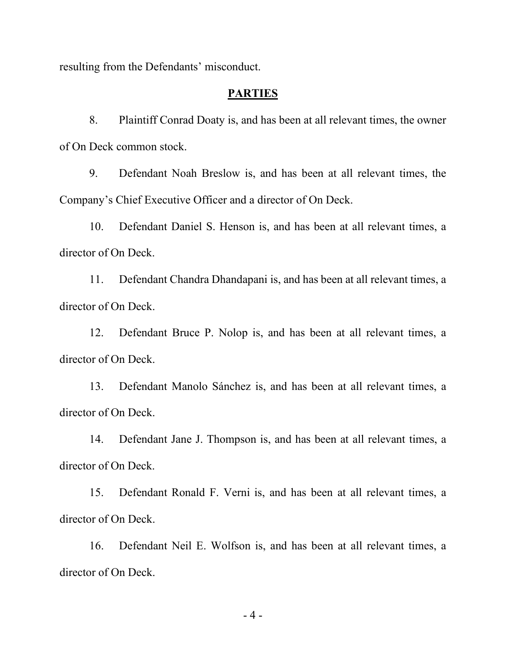resulting from the Defendants' misconduct.

### **PARTIES**

8. Plaintiff Conrad Doaty is, and has been at all relevant times, the owner of On Deck common stock.

9. Defendant Noah Breslow is, and has been at all relevant times, the Company's Chief Executive Officer and a director of On Deck.

10. Defendant Daniel S. Henson is, and has been at all relevant times, a director of On Deck.

11. Defendant Chandra Dhandapani is, and has been at all relevant times, a director of On Deck.

12. Defendant Bruce P. Nolop is, and has been at all relevant times, a director of On Deck.

13. Defendant Manolo Sánchez is, and has been at all relevant times, a director of On Deck.

14. Defendant Jane J. Thompson is, and has been at all relevant times, a director of On Deck.

15. Defendant Ronald F. Verni is, and has been at all relevant times, a director of On Deck.

16. Defendant Neil E. Wolfson is, and has been at all relevant times, a director of On Deck.

- 4 -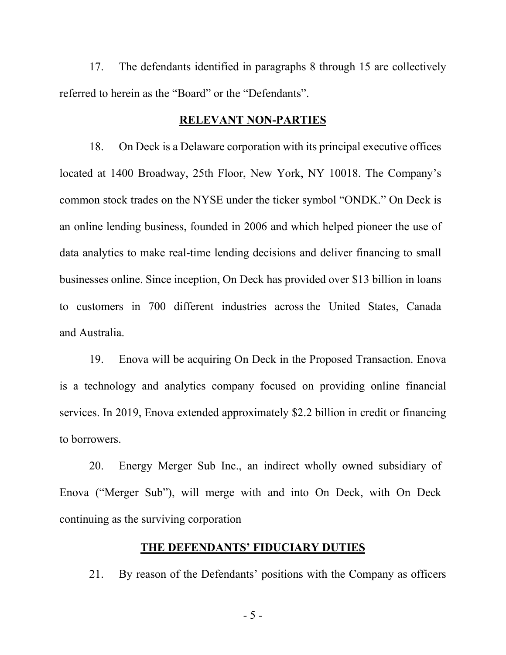17. The defendants identified in paragraphs 8 through 15 are collectively referred to herein as the "Board" or the "Defendants".

#### **RELEVANT NON-PARTIES**

18. On Deck is a Delaware corporation with its principal executive offices located at 1400 Broadway, 25th Floor, New York, NY 10018. The Company's common stock trades on the NYSE under the ticker symbol "ONDK." On Deck is an online lending business, founded in 2006 and which helped pioneer the use of data analytics to make real-time lending decisions and deliver financing to small businesses online. Since inception, On Deck has provided over \$13 billion in loans to customers in 700 different industries across the United States, Canada and Australia.

19. Enova will be acquiring On Deck in the Proposed Transaction. Enova is a technology and analytics company focused on providing online financial services. In 2019, Enova extended approximately \$2.2 billion in credit or financing to borrowers.

20. Energy Merger Sub Inc., an indirect wholly owned subsidiary of Enova ("Merger Sub"), will merge with and into On Deck, with On Deck continuing as the surviving corporation

### **THE DEFENDANTS' FIDUCIARY DUTIES**

21. By reason of the Defendants' positions with the Company as officers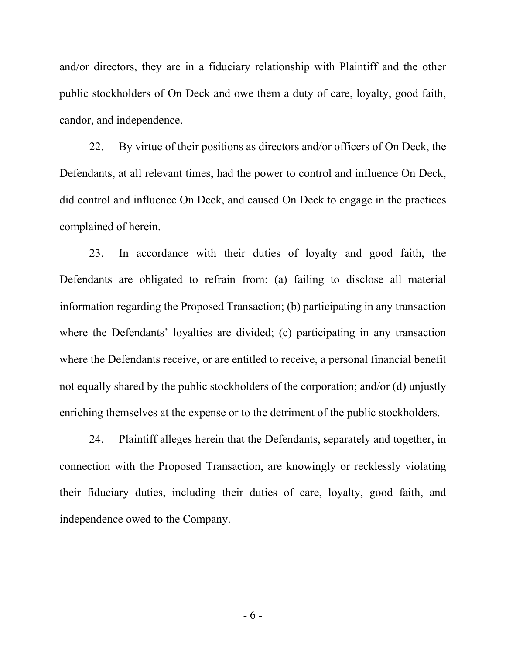and/or directors, they are in a fiduciary relationship with Plaintiff and the other public stockholders of On Deck and owe them a duty of care, loyalty, good faith, candor, and independence.

22. By virtue of their positions as directors and/or officers of On Deck, the Defendants, at all relevant times, had the power to control and influence On Deck, did control and influence On Deck, and caused On Deck to engage in the practices complained of herein.

23. In accordance with their duties of loyalty and good faith, the Defendants are obligated to refrain from: (a) failing to disclose all material information regarding the Proposed Transaction; (b) participating in any transaction where the Defendants' loyalties are divided; (c) participating in any transaction where the Defendants receive, or are entitled to receive, a personal financial benefit not equally shared by the public stockholders of the corporation; and/or (d) unjustly enriching themselves at the expense or to the detriment of the public stockholders.

24. Plaintiff alleges herein that the Defendants, separately and together, in connection with the Proposed Transaction, are knowingly or recklessly violating their fiduciary duties, including their duties of care, loyalty, good faith, and independence owed to the Company.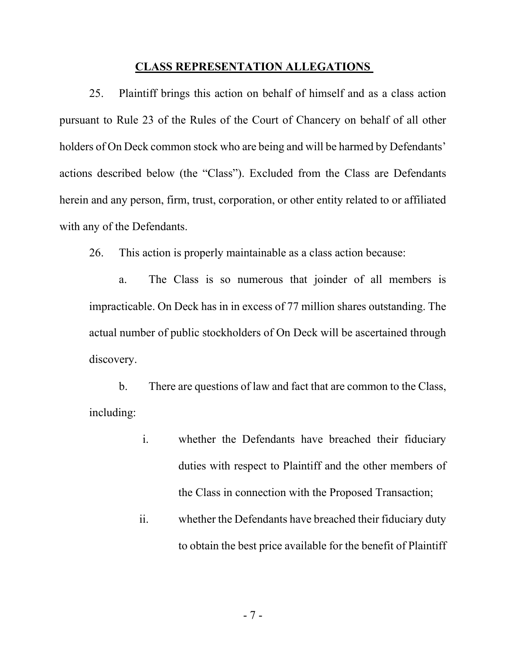#### **CLASS REPRESENTATION ALLEGATIONS**

25. Plaintiff brings this action on behalf of himself and as a class action pursuant to Rule 23 of the Rules of the Court of Chancery on behalf of all other holders of On Deck common stock who are being and will be harmed by Defendants' actions described below (the "Class"). Excluded from the Class are Defendants herein and any person, firm, trust, corporation, or other entity related to or affiliated with any of the Defendants.

26. This action is properly maintainable as a class action because:

a. The Class is so numerous that joinder of all members is impracticable. On Deck has in in excess of 77 million shares outstanding. The actual number of public stockholders of On Deck will be ascertained through discovery.

b. There are questions of law and fact that are common to the Class, including:

- i. whether the Defendants have breached their fiduciary duties with respect to Plaintiff and the other members of the Class in connection with the Proposed Transaction;
- ii. whether the Defendants have breached their fiduciary duty to obtain the best price available for the benefit of Plaintiff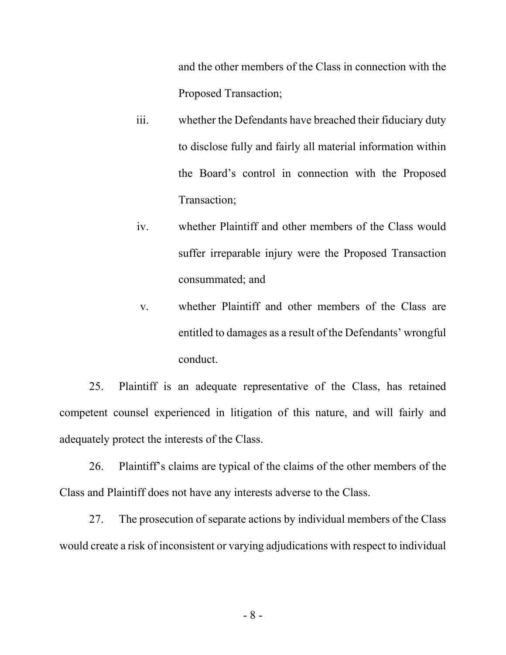and the other members of the Class in connection with the Proposed Transaction;

- iii. whether the Defendants have breached their fiduciary duty to disclose fully and fairly all material information within the Board's control in connection with the Proposed Transaction;
- iv. whether Plaintiff and other members of the Class would suffer irreparable injury were the Proposed Transaction consummated; and
- v. whether Plaintiff and other members of the Class are entitled to damages as a result of the Defendants' wrongful conduct.

25. Plaintiff is an adequate representative of the Class, has retained competent counsel experienced in litigation of this nature, and will fairly and adequately protect the interests of the Class.

26. Plaintiff's claims are typical of the claims of the other members of the Class and Plaintiff does not have any interests adverse to the Class.

27. The prosecution of separate actions by individual members of the Class would create a risk of inconsistent or varying adjudications with respect to individual

- 8 -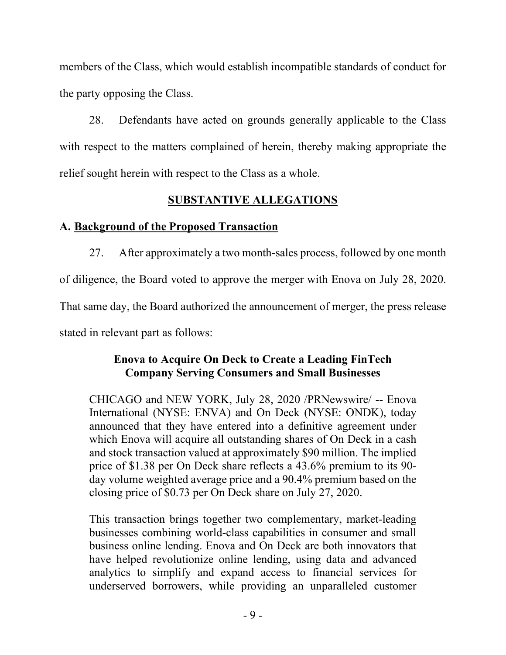members of the Class, which would establish incompatible standards of conduct for the party opposing the Class.

28. Defendants have acted on grounds generally applicable to the Class with respect to the matters complained of herein, thereby making appropriate the relief sought herein with respect to the Class as a whole.

## **SUBSTANTIVE ALLEGATIONS**

## **A. Background of the Proposed Transaction**

27. After approximately a two month-sales process, followed by one month of diligence, the Board voted to approve the merger with Enova on July 28, 2020. That same day, the Board authorized the announcement of merger, the press release stated in relevant part as follows:

## **Enova to Acquire On Deck to Create a Leading FinTech Company Serving Consumers and Small Businesses**

CHICAGO and NEW YORK, July 28, 2020 /PRNewswire/ -- Enova International (NYSE: ENVA) and On Deck (NYSE: ONDK), today announced that they have entered into a definitive agreement under which Enova will acquire all outstanding shares of On Deck in a cash and stock transaction valued at approximately \$90 million. The implied price of \$1.38 per On Deck share reflects a 43.6% premium to its 90 day volume weighted average price and a 90.4% premium based on the closing price of \$0.73 per On Deck share on July 27, 2020.

This transaction brings together two complementary, market-leading businesses combining world-class capabilities in consumer and small business online lending. Enova and On Deck are both innovators that have helped revolutionize online lending, using data and advanced analytics to simplify and expand access to financial services for underserved borrowers, while providing an unparalleled customer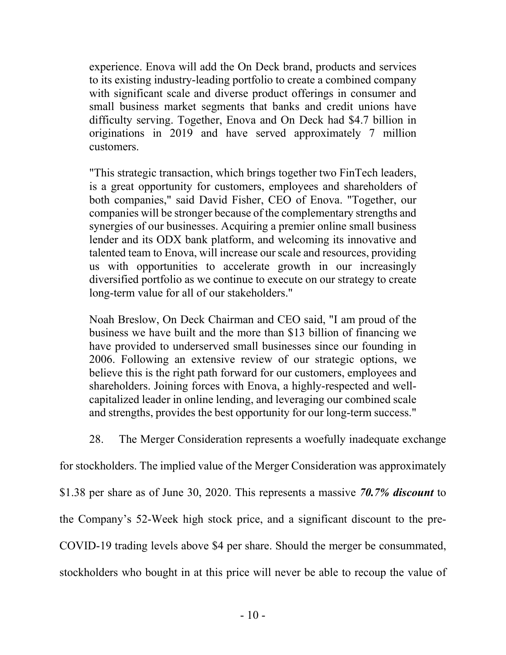experience. Enova will add the On Deck brand, products and services to its existing industry-leading portfolio to create a combined company with significant scale and diverse product offerings in consumer and small business market segments that banks and credit unions have difficulty serving. Together, Enova and On Deck had \$4.7 billion in originations in 2019 and have served approximately 7 million customers.

"This strategic transaction, which brings together two FinTech leaders, is a great opportunity for customers, employees and shareholders of both companies," said David Fisher, CEO of Enova. "Together, our companies will be stronger because of the complementary strengths and synergies of our businesses. Acquiring a premier online small business lender and its ODX bank platform, and welcoming its innovative and talented team to Enova, will increase our scale and resources, providing us with opportunities to accelerate growth in our increasingly diversified portfolio as we continue to execute on our strategy to create long-term value for all of our stakeholders."

Noah Breslow, On Deck Chairman and CEO said, "I am proud of the business we have built and the more than \$13 billion of financing we have provided to underserved small businesses since our founding in 2006. Following an extensive review of our strategic options, we believe this is the right path forward for our customers, employees and shareholders. Joining forces with Enova, a highly-respected and wellcapitalized leader in online lending, and leveraging our combined scale and strengths, provides the best opportunity for our long-term success."

28. The Merger Consideration represents a woefully inadequate exchange

for stockholders. The implied value of the Merger Consideration was approximately \$1.38 per share as of June 30, 2020. This represents a massive *70.7% discount* to the Company's 52-Week high stock price, and a significant discount to the pre-COVID-19 trading levels above \$4 per share. Should the merger be consummated, stockholders who bought in at this price will never be able to recoup the value of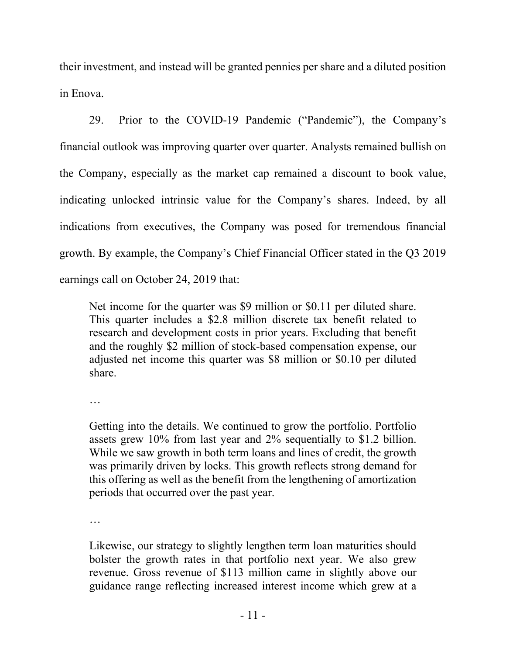their investment, and instead will be granted pennies per share and a diluted position in Enova.

29. Prior to the COVID-19 Pandemic ("Pandemic"), the Company's financial outlook was improving quarter over quarter. Analysts remained bullish on the Company, especially as the market cap remained a discount to book value, indicating unlocked intrinsic value for the Company's shares. Indeed, by all indications from executives, the Company was posed for tremendous financial growth. By example, the Company's Chief Financial Officer stated in the Q3 2019 earnings call on October 24, 2019 that:

Net income for the quarter was \$9 million or \$0.11 per diluted share. This quarter includes a \$2.8 million discrete tax benefit related to research and development costs in prior years. Excluding that benefit and the roughly \$2 million of stock-based compensation expense, our adjusted net income this quarter was \$8 million or \$0.10 per diluted share.

…

Getting into the details. We continued to grow the portfolio. Portfolio assets grew 10% from last year and 2% sequentially to \$1.2 billion. While we saw growth in both term loans and lines of credit, the growth was primarily driven by locks. This growth reflects strong demand for this offering as well as the benefit from the lengthening of amortization periods that occurred over the past year.

…

Likewise, our strategy to slightly lengthen term loan maturities should bolster the growth rates in that portfolio next year. We also grew revenue. Gross revenue of \$113 million came in slightly above our guidance range reflecting increased interest income which grew at a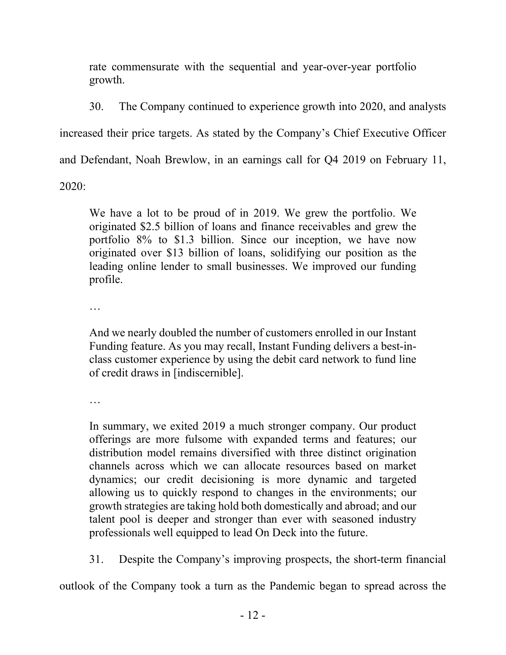rate commensurate with the sequential and year-over-year portfolio growth.

30. The Company continued to experience growth into 2020, and analysts increased their price targets. As stated by the Company's Chief Executive Officer

and Defendant, Noah Brewlow, in an earnings call for Q4 2019 on February 11,

2020:

We have a lot to be proud of in 2019. We grew the portfolio. We originated \$2.5 billion of loans and finance receivables and grew the portfolio 8% to \$1.3 billion. Since our inception, we have now originated over \$13 billion of loans, solidifying our position as the leading online lender to small businesses. We improved our funding profile.

…

And we nearly doubled the number of customers enrolled in our Instant Funding feature. As you may recall, Instant Funding delivers a best-inclass customer experience by using the debit card network to fund line of credit draws in [indiscernible].

…

In summary, we exited 2019 a much stronger company. Our product offerings are more fulsome with expanded terms and features; our distribution model remains diversified with three distinct origination channels across which we can allocate resources based on market dynamics; our credit decisioning is more dynamic and targeted allowing us to quickly respond to changes in the environments; our growth strategies are taking hold both domestically and abroad; and our talent pool is deeper and stronger than ever with seasoned industry professionals well equipped to lead On Deck into the future.

31. Despite the Company's improving prospects, the short-term financial

outlook of the Company took a turn as the Pandemic began to spread across the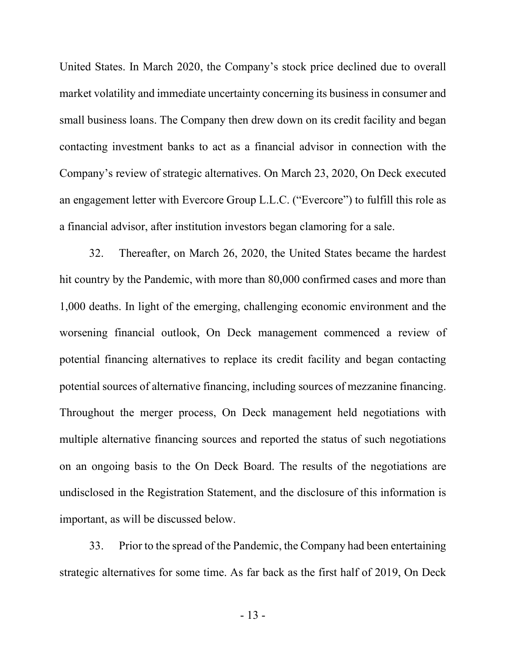United States. In March 2020, the Company's stock price declined due to overall market volatility and immediate uncertainty concerning its business in consumer and small business loans. The Company then drew down on its credit facility and began contacting investment banks to act as a financial advisor in connection with the Company's review of strategic alternatives. On March 23, 2020, On Deck executed an engagement letter with Evercore Group L.L.C. ("Evercore") to fulfill this role as a financial advisor, after institution investors began clamoring for a sale.

32. Thereafter, on March 26, 2020, the United States became the hardest hit country by the Pandemic, with more than 80,000 confirmed cases and more than 1,000 deaths. In light of the emerging, challenging economic environment and the worsening financial outlook, On Deck management commenced a review of potential financing alternatives to replace its credit facility and began contacting potential sources of alternative financing, including sources of mezzanine financing. Throughout the merger process, On Deck management held negotiations with multiple alternative financing sources and reported the status of such negotiations on an ongoing basis to the On Deck Board. The results of the negotiations are undisclosed in the Registration Statement, and the disclosure of this information is important, as will be discussed below.

33. Prior to the spread of the Pandemic, the Company had been entertaining strategic alternatives for some time. As far back as the first half of 2019, On Deck

- 13 -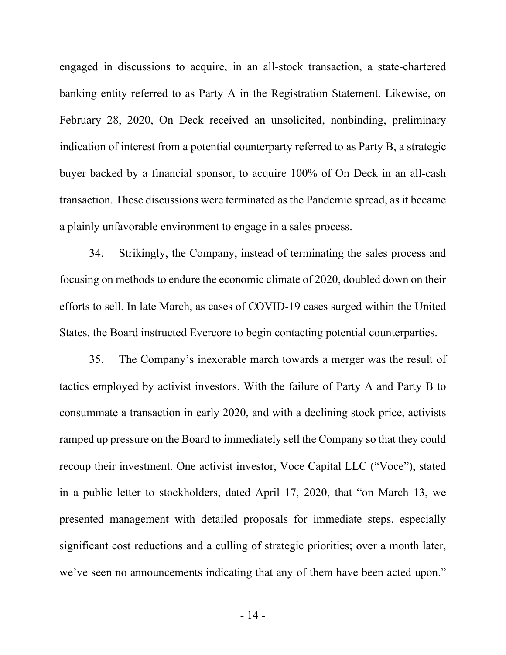engaged in discussions to acquire, in an all-stock transaction, a state-chartered banking entity referred to as Party A in the Registration Statement. Likewise, on February 28, 2020, On Deck received an unsolicited, nonbinding, preliminary indication of interest from a potential counterparty referred to as Party B, a strategic buyer backed by a financial sponsor, to acquire 100% of On Deck in an all-cash transaction. These discussions were terminated as the Pandemic spread, as it became a plainly unfavorable environment to engage in a sales process.

34. Strikingly, the Company, instead of terminating the sales process and focusing on methods to endure the economic climate of 2020, doubled down on their efforts to sell. In late March, as cases of COVID-19 cases surged within the United States, the Board instructed Evercore to begin contacting potential counterparties.

35. The Company's inexorable march towards a merger was the result of tactics employed by activist investors. With the failure of Party A and Party B to consummate a transaction in early 2020, and with a declining stock price, activists ramped up pressure on the Board to immediately sell the Company so that they could recoup their investment. One activist investor, Voce Capital LLC ("Voce"), stated in a public letter to stockholders, dated April 17, 2020, that "on March 13, we presented management with detailed proposals for immediate steps, especially significant cost reductions and a culling of strategic priorities; over a month later, we've seen no announcements indicating that any of them have been acted upon."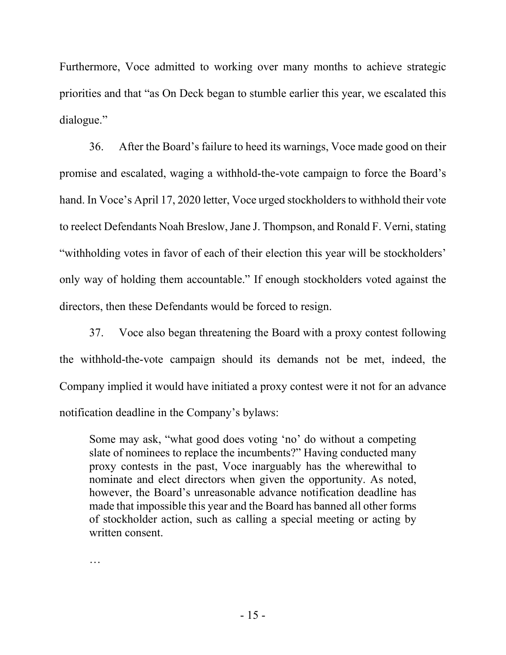Furthermore, Voce admitted to working over many months to achieve strategic priorities and that "as On Deck began to stumble earlier this year, we escalated this dialogue."

36. After the Board's failure to heed its warnings, Voce made good on their promise and escalated, waging a withhold-the-vote campaign to force the Board's hand. In Voce's April 17, 2020 letter, Voce urged stockholders to withhold their vote to reelect Defendants Noah Breslow, Jane J. Thompson, and Ronald F. Verni, stating "withholding votes in favor of each of their election this year will be stockholders' only way of holding them accountable." If enough stockholders voted against the directors, then these Defendants would be forced to resign.

37. Voce also began threatening the Board with a proxy contest following the withhold-the-vote campaign should its demands not be met, indeed, the Company implied it would have initiated a proxy contest were it not for an advance notification deadline in the Company's bylaws:

Some may ask, "what good does voting 'no' do without a competing slate of nominees to replace the incumbents?" Having conducted many proxy contests in the past, Voce inarguably has the wherewithal to nominate and elect directors when given the opportunity. As noted, however, the Board's unreasonable advance notification deadline has made that impossible this year and the Board has banned all other forms of stockholder action, such as calling a special meeting or acting by written consent.

…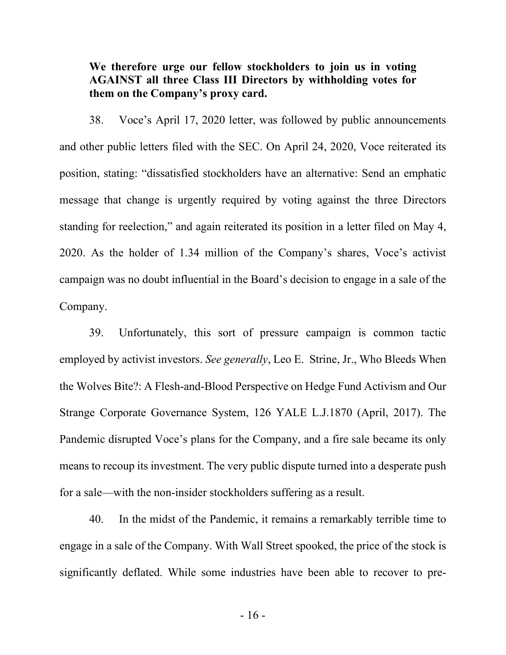### **We therefore urge our fellow stockholders to join us in voting AGAINST all three Class III Directors by withholding votes for them on the Company's proxy card.**

38. Voce's April 17, 2020 letter, was followed by public announcements and other public letters filed with the SEC. On April 24, 2020, Voce reiterated its position, stating: "dissatisfied stockholders have an alternative: Send an emphatic message that change is urgently required by voting against the three Directors standing for reelection," and again reiterated its position in a letter filed on May 4, 2020. As the holder of 1.34 million of the Company's shares, Voce's activist campaign was no doubt influential in the Board's decision to engage in a sale of the Company.

39. Unfortunately, this sort of pressure campaign is common tactic employed by activist investors. *See generally*, Leo E. Strine, Jr., Who Bleeds When the Wolves Bite?: A Flesh-and-Blood Perspective on Hedge Fund Activism and Our Strange Corporate Governance System, 126 YALE L.J.1870 (April, 2017). The Pandemic disrupted Voce's plans for the Company, and a fire sale became its only means to recoup its investment. The very public dispute turned into a desperate push for a sale—with the non-insider stockholders suffering as a result.

40. In the midst of the Pandemic, it remains a remarkably terrible time to engage in a sale of the Company. With Wall Street spooked, the price of the stock is significantly deflated. While some industries have been able to recover to pre-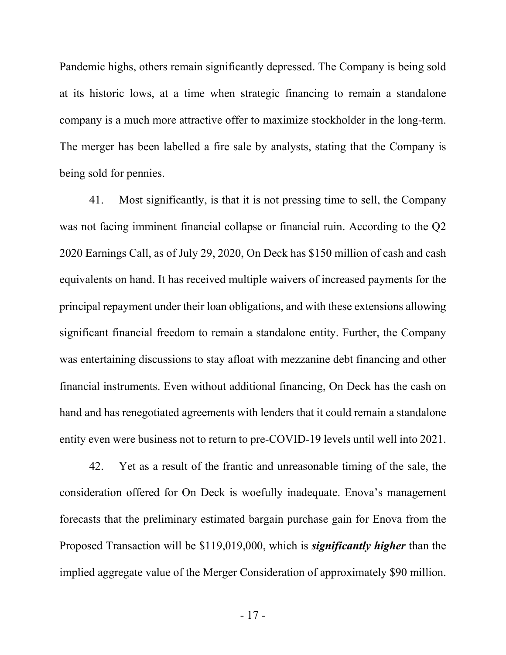Pandemic highs, others remain significantly depressed. The Company is being sold at its historic lows, at a time when strategic financing to remain a standalone company is a much more attractive offer to maximize stockholder in the long-term. The merger has been labelled a fire sale by analysts, stating that the Company is being sold for pennies.

41. Most significantly, is that it is not pressing time to sell, the Company was not facing imminent financial collapse or financial ruin. According to the Q2 2020 Earnings Call, as of July 29, 2020, On Deck has \$150 million of cash and cash equivalents on hand. It has received multiple waivers of increased payments for the principal repayment under their loan obligations, and with these extensions allowing significant financial freedom to remain a standalone entity. Further, the Company was entertaining discussions to stay afloat with mezzanine debt financing and other financial instruments. Even without additional financing, On Deck has the cash on hand and has renegotiated agreements with lenders that it could remain a standalone entity even were business not to return to pre-COVID-19 levels until well into 2021.

42. Yet as a result of the frantic and unreasonable timing of the sale, the consideration offered for On Deck is woefully inadequate. Enova's management forecasts that the preliminary estimated bargain purchase gain for Enova from the Proposed Transaction will be \$119,019,000, which is *significantly higher* than the implied aggregate value of the Merger Consideration of approximately \$90 million.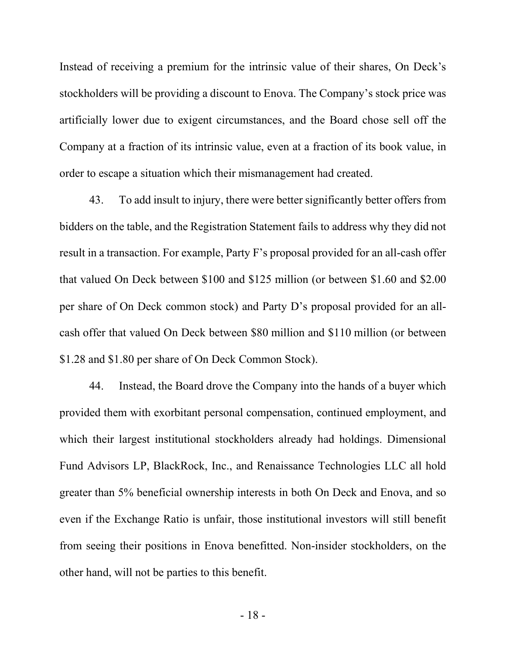Instead of receiving a premium for the intrinsic value of their shares, On Deck's stockholders will be providing a discount to Enova. The Company's stock price was artificially lower due to exigent circumstances, and the Board chose sell off the Company at a fraction of its intrinsic value, even at a fraction of its book value, in order to escape a situation which their mismanagement had created.

43. To add insult to injury, there were better significantly better offers from bidders on the table, and the Registration Statement fails to address why they did not result in a transaction. For example, Party F's proposal provided for an all-cash offer that valued On Deck between \$100 and \$125 million (or between \$1.60 and \$2.00 per share of On Deck common stock) and Party D's proposal provided for an allcash offer that valued On Deck between \$80 million and \$110 million (or between \$1.28 and \$1.80 per share of On Deck Common Stock).

44. Instead, the Board drove the Company into the hands of a buyer which provided them with exorbitant personal compensation, continued employment, and which their largest institutional stockholders already had holdings. Dimensional Fund Advisors LP, BlackRock, Inc., and Renaissance Technologies LLC all hold greater than 5% beneficial ownership interests in both On Deck and Enova, and so even if the Exchange Ratio is unfair, those institutional investors will still benefit from seeing their positions in Enova benefitted. Non-insider stockholders, on the other hand, will not be parties to this benefit.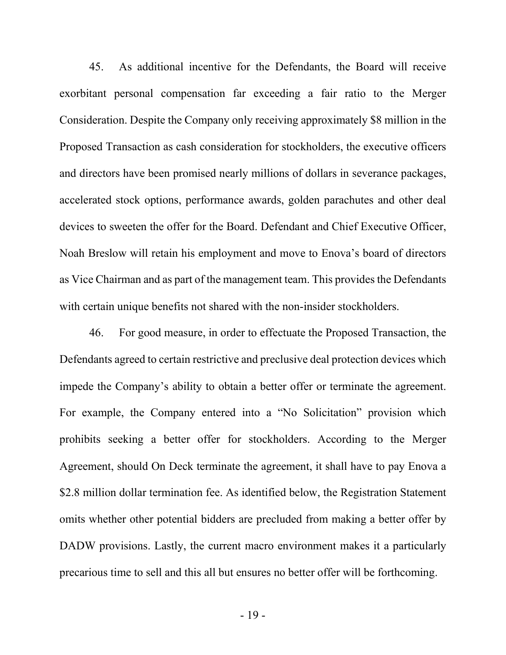45. As additional incentive for the Defendants, the Board will receive exorbitant personal compensation far exceeding a fair ratio to the Merger Consideration. Despite the Company only receiving approximately \$8 million in the Proposed Transaction as cash consideration for stockholders, the executive officers and directors have been promised nearly millions of dollars in severance packages, accelerated stock options, performance awards, golden parachutes and other deal devices to sweeten the offer for the Board. Defendant and Chief Executive Officer, Noah Breslow will retain his employment and move to Enova's board of directors as Vice Chairman and as part of the management team. This provides the Defendants with certain unique benefits not shared with the non-insider stockholders.

46. For good measure, in order to effectuate the Proposed Transaction, the Defendants agreed to certain restrictive and preclusive deal protection devices which impede the Company's ability to obtain a better offer or terminate the agreement. For example, the Company entered into a "No Solicitation" provision which prohibits seeking a better offer for stockholders. According to the Merger Agreement, should On Deck terminate the agreement, it shall have to pay Enova a \$2.8 million dollar termination fee. As identified below, the Registration Statement omits whether other potential bidders are precluded from making a better offer by DADW provisions. Lastly, the current macro environment makes it a particularly precarious time to sell and this all but ensures no better offer will be forthcoming.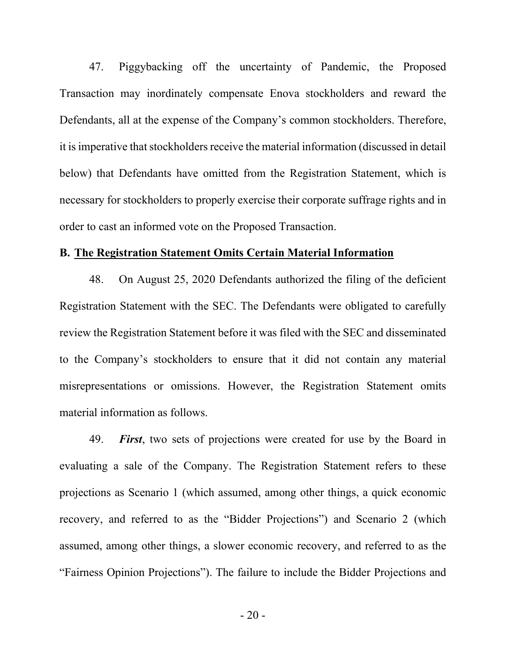47. Piggybacking off the uncertainty of Pandemic, the Proposed Transaction may inordinately compensate Enova stockholders and reward the Defendants, all at the expense of the Company's common stockholders. Therefore, it is imperative that stockholders receive the material information (discussed in detail below) that Defendants have omitted from the Registration Statement, which is necessary for stockholders to properly exercise their corporate suffrage rights and in order to cast an informed vote on the Proposed Transaction.

#### **B. The Registration Statement Omits Certain Material Information**

48. On August 25, 2020 Defendants authorized the filing of the deficient Registration Statement with the SEC. The Defendants were obligated to carefully review the Registration Statement before it was filed with the SEC and disseminated to the Company's stockholders to ensure that it did not contain any material misrepresentations or omissions. However, the Registration Statement omits material information as follows.

49. *First*, two sets of projections were created for use by the Board in evaluating a sale of the Company. The Registration Statement refers to these projections as Scenario 1 (which assumed, among other things, a quick economic recovery, and referred to as the "Bidder Projections") and Scenario 2 (which assumed, among other things, a slower economic recovery, and referred to as the "Fairness Opinion Projections"). The failure to include the Bidder Projections and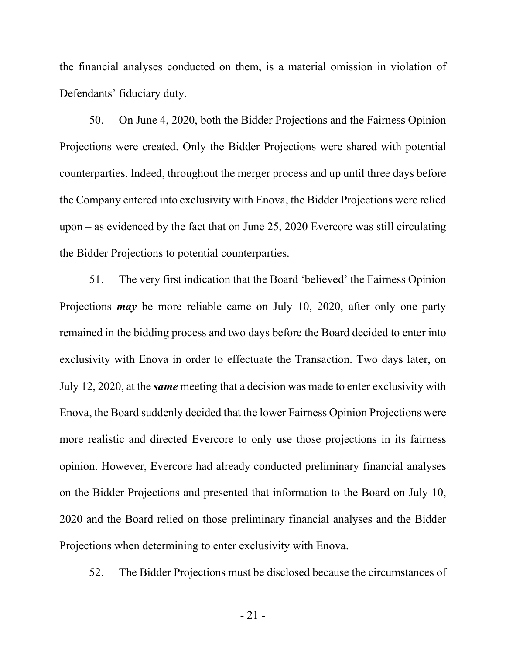the financial analyses conducted on them, is a material omission in violation of Defendants' fiduciary duty.

50. On June 4, 2020, both the Bidder Projections and the Fairness Opinion Projections were created. Only the Bidder Projections were shared with potential counterparties. Indeed, throughout the merger process and up until three days before the Company entered into exclusivity with Enova, the Bidder Projections were relied upon – as evidenced by the fact that on June 25, 2020 Evercore was still circulating the Bidder Projections to potential counterparties.

51. The very first indication that the Board 'believed' the Fairness Opinion Projections *may* be more reliable came on July 10, 2020, after only one party remained in the bidding process and two days before the Board decided to enter into exclusivity with Enova in order to effectuate the Transaction. Two days later, on July 12, 2020, at the *same* meeting that a decision was made to enter exclusivity with Enova, the Board suddenly decided that the lower Fairness Opinion Projections were more realistic and directed Evercore to only use those projections in its fairness opinion. However, Evercore had already conducted preliminary financial analyses on the Bidder Projections and presented that information to the Board on July 10, 2020 and the Board relied on those preliminary financial analyses and the Bidder Projections when determining to enter exclusivity with Enova.

52. The Bidder Projections must be disclosed because the circumstances of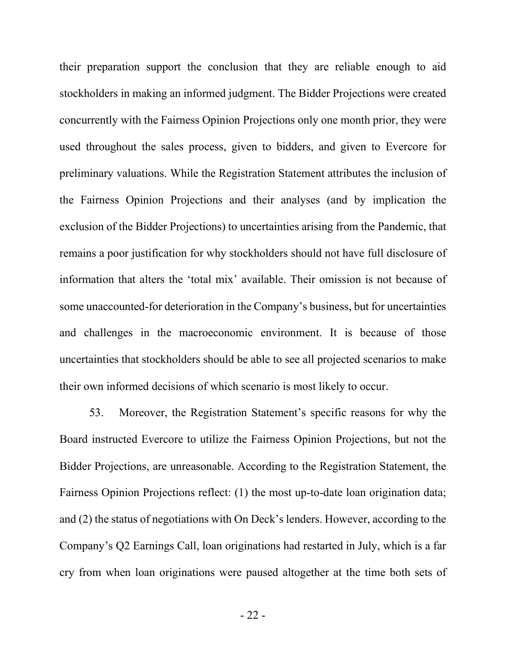their preparation support the conclusion that they are reliable enough to aid stockholders in making an informed judgment. The Bidder Projections were created concurrently with the Fairness Opinion Projections only one month prior, they were used throughout the sales process, given to bidders, and given to Evercore for preliminary valuations. While the Registration Statement attributes the inclusion of the Fairness Opinion Projections and their analyses (and by implication the exclusion of the Bidder Projections) to uncertainties arising from the Pandemic, that remains a poor justification for why stockholders should not have full disclosure of information that alters the 'total mix' available. Their omission is not because of some unaccounted-for deterioration in the Company's business, but for uncertainties and challenges in the macroeconomic environment. It is because of those uncertainties that stockholders should be able to see all projected scenarios to make their own informed decisions of which scenario is most likely to occur.

53. Moreover, the Registration Statement's specific reasons for why the Board instructed Evercore to utilize the Fairness Opinion Projections, but not the Bidder Projections, are unreasonable. According to the Registration Statement, the Fairness Opinion Projections reflect: (1) the most up-to-date loan origination data; and (2) the status of negotiations with On Deck's lenders. However, according to the Company's Q2 Earnings Call, loan originations had restarted in July, which is a far cry from when loan originations were paused altogether at the time both sets of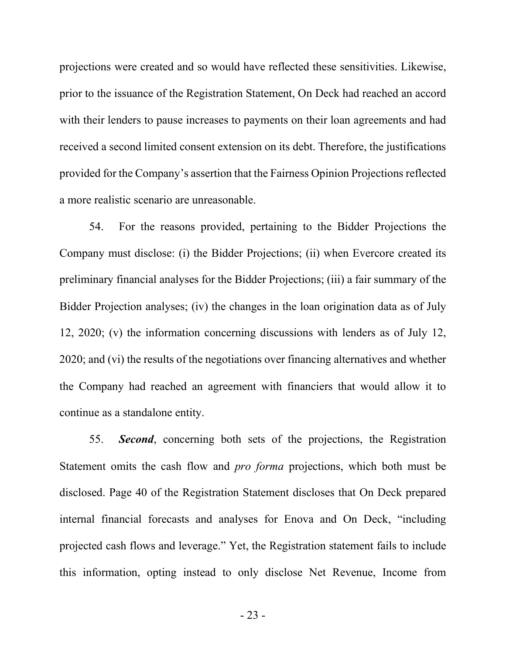projections were created and so would have reflected these sensitivities. Likewise, prior to the issuance of the Registration Statement, On Deck had reached an accord with their lenders to pause increases to payments on their loan agreements and had received a second limited consent extension on its debt. Therefore, the justifications provided for the Company's assertion that the Fairness Opinion Projections reflected a more realistic scenario are unreasonable.

54. For the reasons provided, pertaining to the Bidder Projections the Company must disclose: (i) the Bidder Projections; (ii) when Evercore created its preliminary financial analyses for the Bidder Projections; (iii) a fair summary of the Bidder Projection analyses; (iv) the changes in the loan origination data as of July 12, 2020; (v) the information concerning discussions with lenders as of July 12, 2020; and (vi) the results of the negotiations over financing alternatives and whether the Company had reached an agreement with financiers that would allow it to continue as a standalone entity.

55. *Second*, concerning both sets of the projections, the Registration Statement omits the cash flow and *pro forma* projections, which both must be disclosed. Page 40 of the Registration Statement discloses that On Deck prepared internal financial forecasts and analyses for Enova and On Deck, "including projected cash flows and leverage." Yet, the Registration statement fails to include this information, opting instead to only disclose Net Revenue, Income from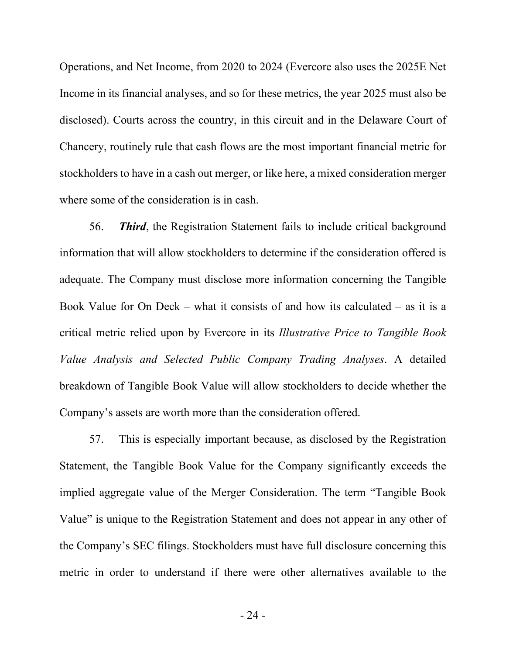Operations, and Net Income, from 2020 to 2024 (Evercore also uses the 2025E Net Income in its financial analyses, and so for these metrics, the year 2025 must also be disclosed). Courts across the country, in this circuit and in the Delaware Court of Chancery, routinely rule that cash flows are the most important financial metric for stockholders to have in a cash out merger, or like here, a mixed consideration merger where some of the consideration is in cash.

56. *Third*, the Registration Statement fails to include critical background information that will allow stockholders to determine if the consideration offered is adequate. The Company must disclose more information concerning the Tangible Book Value for On Deck – what it consists of and how its calculated – as it is a critical metric relied upon by Evercore in its *Illustrative Price to Tangible Book Value Analysis and Selected Public Company Trading Analyses*. A detailed breakdown of Tangible Book Value will allow stockholders to decide whether the Company's assets are worth more than the consideration offered.

57. This is especially important because, as disclosed by the Registration Statement, the Tangible Book Value for the Company significantly exceeds the implied aggregate value of the Merger Consideration. The term "Tangible Book Value" is unique to the Registration Statement and does not appear in any other of the Company's SEC filings. Stockholders must have full disclosure concerning this metric in order to understand if there were other alternatives available to the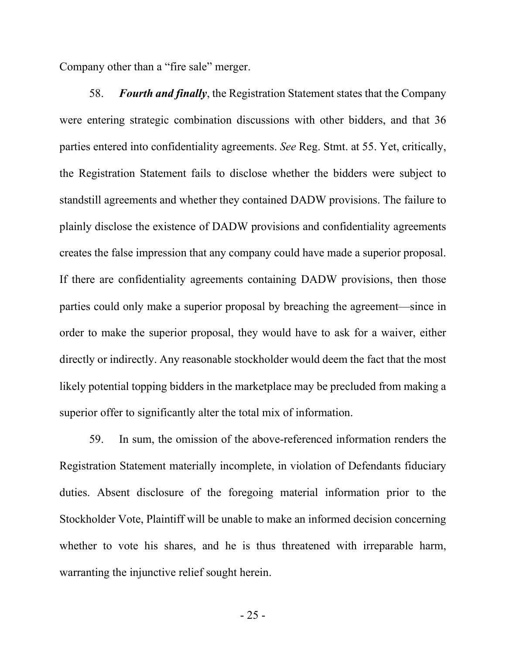Company other than a "fire sale" merger.

58. *Fourth and finally*, the Registration Statement states that the Company were entering strategic combination discussions with other bidders, and that 36 parties entered into confidentiality agreements. *See* Reg. Stmt. at 55. Yet, critically, the Registration Statement fails to disclose whether the bidders were subject to standstill agreements and whether they contained DADW provisions. The failure to plainly disclose the existence of DADW provisions and confidentiality agreements creates the false impression that any company could have made a superior proposal. If there are confidentiality agreements containing DADW provisions, then those parties could only make a superior proposal by breaching the agreement—since in order to make the superior proposal, they would have to ask for a waiver, either directly or indirectly. Any reasonable stockholder would deem the fact that the most likely potential topping bidders in the marketplace may be precluded from making a superior offer to significantly alter the total mix of information.

59. In sum, the omission of the above-referenced information renders the Registration Statement materially incomplete, in violation of Defendants fiduciary duties. Absent disclosure of the foregoing material information prior to the Stockholder Vote, Plaintiff will be unable to make an informed decision concerning whether to vote his shares, and he is thus threatened with irreparable harm, warranting the injunctive relief sought herein.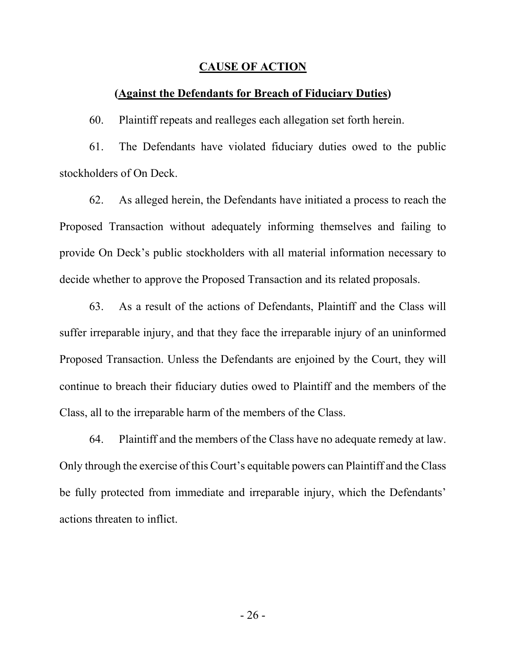#### **CAUSE OF ACTION**

### **(Against the Defendants for Breach of Fiduciary Duties)**

60. Plaintiff repeats and realleges each allegation set forth herein.

61. The Defendants have violated fiduciary duties owed to the public stockholders of On Deck.

62. As alleged herein, the Defendants have initiated a process to reach the Proposed Transaction without adequately informing themselves and failing to provide On Deck's public stockholders with all material information necessary to decide whether to approve the Proposed Transaction and its related proposals.

63. As a result of the actions of Defendants, Plaintiff and the Class will suffer irreparable injury, and that they face the irreparable injury of an uninformed Proposed Transaction. Unless the Defendants are enjoined by the Court, they will continue to breach their fiduciary duties owed to Plaintiff and the members of the Class, all to the irreparable harm of the members of the Class.

64. Plaintiff and the members of the Class have no adequate remedy at law. Only through the exercise of this Court's equitable powers can Plaintiff and the Class be fully protected from immediate and irreparable injury, which the Defendants' actions threaten to inflict.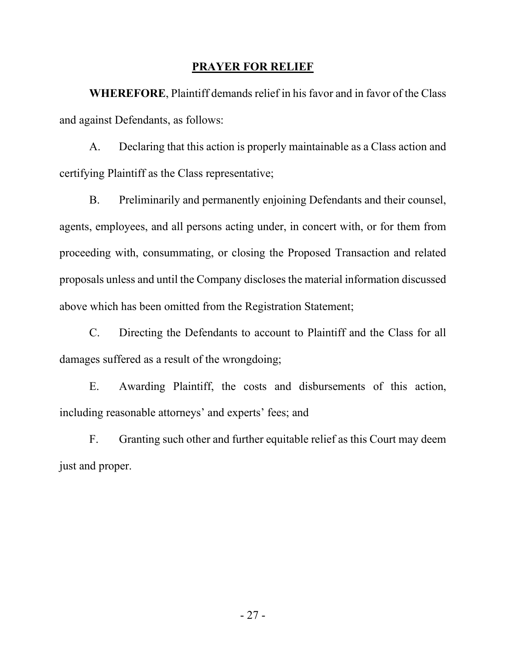#### **PRAYER FOR RELIEF**

**WHEREFORE**, Plaintiff demands relief in his favor and in favor of the Class and against Defendants, as follows:

A. Declaring that this action is properly maintainable as a Class action and certifying Plaintiff as the Class representative;

B. Preliminarily and permanently enjoining Defendants and their counsel, agents, employees, and all persons acting under, in concert with, or for them from proceeding with, consummating, or closing the Proposed Transaction and related proposals unless and until the Company discloses the material information discussed above which has been omitted from the Registration Statement;

C. Directing the Defendants to account to Plaintiff and the Class for all damages suffered as a result of the wrongdoing;

E. Awarding Plaintiff, the costs and disbursements of this action, including reasonable attorneys' and experts' fees; and

F. Granting such other and further equitable relief as this Court may deem just and proper.

- 27 -